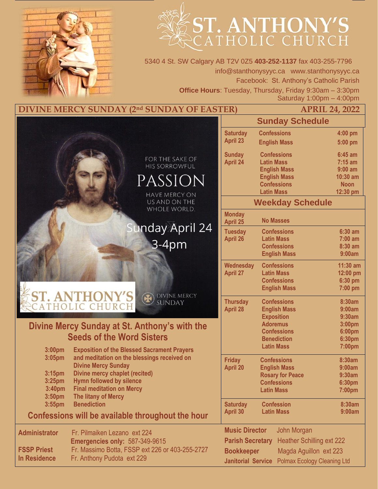

# ST. ANTHONY'S

5340 4 St. SW Calgary AB T2V 0Z5 **403-252-1137** fax 403-255-7796 info@stanthonysyyc.ca www.stanthonysyyc.ca Facebook: St. Anthony's Catholic Parish **Office Hours**: Tuesday, Thursday, Friday 9:30am – 3:30pm Saturday 1:00pm – 4:00pm

**DIVINE MERCY SUNDAY (2<sup>nd</sup> SUNDAY OF EASTER)** 

| <b>APRIL 24, 2022</b> |
|-----------------------|
|-----------------------|

|                                               |                                                                                                   |                                         |                                    | <b>Sunday Schedule</b>                    |                         |
|-----------------------------------------------|---------------------------------------------------------------------------------------------------|-----------------------------------------|------------------------------------|-------------------------------------------|-------------------------|
|                                               |                                                                                                   |                                         | <b>Saturday</b>                    | <b>Confessions</b>                        | 4:00 pm                 |
|                                               |                                                                                                   |                                         | <b>April 23</b>                    | <b>English Mass</b>                       | 5:00 pm                 |
|                                               |                                                                                                   |                                         | <b>Sunday</b>                      | <b>Confessions</b>                        | $6:45$ am               |
|                                               |                                                                                                   | FOR THE SAKE OF<br><b>HIS SORROWFUL</b> | <b>April 24</b>                    | <b>Latin Mass</b>                         | $7:15$ am               |
|                                               |                                                                                                   |                                         |                                    | <b>English Mass</b>                       | $9:00$ am               |
|                                               |                                                                                                   | PASSION                                 |                                    | <b>English Mass</b><br><b>Confessions</b> | 10:30 am<br><b>Noon</b> |
|                                               |                                                                                                   | <b>HAVE MERCY ON</b>                    |                                    | <b>Latin Mass</b>                         | 12:30 pm                |
|                                               |                                                                                                   | US AND ON THE<br>WHOLE WORLD.           |                                    | <b>Weekday Schedule</b>                   |                         |
|                                               |                                                                                                   |                                         | <b>Monday</b>                      |                                           |                         |
|                                               |                                                                                                   | <b>Inday April 24</b>                   | April 25                           | <b>No Masses</b>                          |                         |
|                                               |                                                                                                   |                                         | <b>Tuesday</b><br><b>April 26</b>  | <b>Confessions</b><br><b>Latin Mass</b>   | 6:30 am<br>$7:00$ am    |
|                                               |                                                                                                   | $3-4pm$                                 |                                    | <b>Confessions</b>                        | 8:30 am                 |
|                                               |                                                                                                   |                                         |                                    | <b>English Mass</b>                       | 9:00am                  |
|                                               |                                                                                                   |                                         | Wednesday                          | <b>Confessions</b>                        | 11:30 am                |
|                                               |                                                                                                   |                                         | <b>April 27</b>                    | <b>Latin Mass</b><br><b>Confessions</b>   | 12:00 pm                |
|                                               |                                                                                                   |                                         |                                    | <b>English Mass</b>                       | 6:30 pm<br>7:00 pm      |
|                                               | <b>ST. ANTHONY'S</b><br>CATHOLIC CHURCH                                                           | <b>DIVINE MERCY</b>                     |                                    |                                           |                         |
|                                               |                                                                                                   | SUNDAY                                  | <b>Thursday</b><br><b>April 28</b> | <b>Confessions</b><br><b>English Mass</b> | 8:30am<br>9:00am        |
|                                               |                                                                                                   |                                         |                                    | <b>Exposition</b>                         | 9:30am                  |
| Divine Mercy Sunday at St. Anthony's with the |                                                                                                   |                                         |                                    | <b>Adoremus</b>                           | 3:00pm                  |
|                                               | <b>Seeds of the Word Sisters</b>                                                                  |                                         |                                    | <b>Confessions</b><br><b>Benediction</b>  | 6:00pm<br>6:30pm        |
|                                               |                                                                                                   |                                         |                                    | <b>Latin Mass</b>                         | 7:00pm                  |
| 3:00 <sub>pm</sub><br>3:05pm                  | <b>Exposition of the Blessed Sacrament Prayers</b><br>and meditation on the blessings received on |                                         |                                    |                                           |                         |
|                                               | <b>Divine Mercy Sunday</b>                                                                        |                                         | <b>Friday</b><br><b>April 20</b>   | <b>Confessions</b><br><b>English Mass</b> | 8:30am<br>9:00am        |
| 3:15 <sub>pm</sub>                            | <b>Divine mercy chaplet (recited)</b>                                                             |                                         |                                    | <b>Rosary for Peace</b>                   | 9:30am                  |
| 3:25 <sub>pm</sub>                            | <b>Hymn followed by silence</b>                                                                   |                                         |                                    | <b>Confessions</b>                        | 6:30pm                  |
| 3:40pm<br>3:50 <sub>pm</sub>                  | <b>Final meditation on Mercy</b><br>The litany of Mercy                                           |                                         |                                    | <b>Latin Mass</b>                         | 7:00pm                  |
| $3:55$ pm                                     | <b>Benediction</b>                                                                                |                                         | <b>Saturday</b>                    | <b>Confession</b>                         | 8:30am                  |
|                                               | Confessions will be available throughout the hour                                                 |                                         | April 30                           | <b>Latin Mass</b>                         | 9:00am                  |
| <b>Administrator</b>                          | Fr. Pilmaiken Lezano ext 224                                                                      |                                         | <b>Music Director</b>              | John Morgan                               |                         |
|                                               | <b>Emergencies only: 587-349-9615</b>                                                             |                                         | <b>Parish Secretary</b>            | <b>Heather Schilling ext 222</b>          |                         |
| <b>FSSP Priest</b>                            | Fr. Massimo Botta, FSSP ext 226 or 403-255-2727                                                   |                                         | <b>Bookkeeper</b>                  | Magda Aguillon ext 223                    |                         |
| <b>In Residence</b>                           | Fr. Anthony Pudota ext 229                                                                        |                                         | <b>Janitorial Service</b>          | <b>Polmax Ecology Cleaning Ltd</b>        |                         |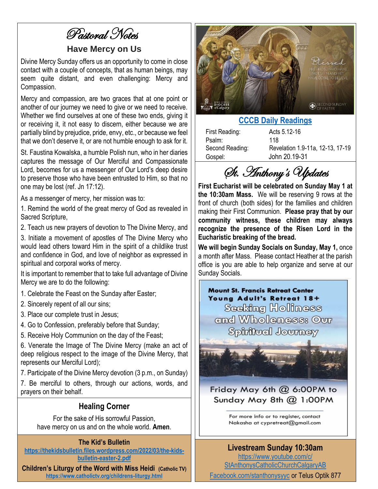Pastoral Notes

### **Have Mercy on Us**

Divine Mercy Sunday offers us an opportunity to come in close contact with a couple of concepts, that as human beings, may seem quite distant, and even challenging: Mercy and Compassion.

Mercy and compassion, are two graces that at one point or another of our journey we need to give or we need to receive. Whether we find ourselves at one of these two ends, giving it or receiving it, it not easy to discern, either because we are partially blind by prejudice, pride, envy, etc., or because we feel that we don't deserve it, or are not humble enough to ask for it.

St. Faustina Kowalska, a humble Polish nun, who in her diaries captures the message of Our Merciful and Compassionate Lord, becomes for us a messenger of Our Lord's deep desire to preserve those who have been entrusted to Him, so that no one may be lost (ref. Jn 17:12).

As a messenger of mercy, her mission was to:

1. Remind the world of the great mercy of God as revealed in Sacred Scripture,

2. Teach us new prayers of devotion to The Divine Mercy, and

3. Initiate a movement of apostles of The Divine Mercy who would lead others toward Him in the spirit of a childlike trust and confidence in God, and love of neighbor as expressed in spiritual and corporal works of mercy.

It is important to remember that to take full advantage of Divine Mercy we are to do the following:

- 1. Celebrate the Feast on the Sunday after Easter;
- 2. Sincerely repent of all our sins;
- 3. Place our complete trust in Jesus;
- 4. Go to Confession, preferably before that Sunday;
- 5. Receive Holy Communion on the day of the Feast;

6. Venerate the Image of The Divine Mercy (make an act of deep religious respect to the image of the Divine Mercy, that represents our Merciful Lord);

7. Participate of the Divine Mercy devotion (3 p.m., on Sunday)

7. Be merciful to others, through our actions, words, and prayers on their behalf.

#### **Healing Corner**

For the sake of His sorrowful Passion, have mercy on us and on the whole world. **Amen**.

#### **The Kid's Bulletin**

**[https://thekidsbulletin.files.wordpress.com/2022/03/the-kids](https://thekidsbulletin.files.wordpress.com/2022/03/the-kids-bulletin-easter-2.pdf)[bulletin-easter-2.pdf](https://thekidsbulletin.files.wordpress.com/2022/03/the-kids-bulletin-easter-2.pdf)**

**Children's Liturgy of the Word with Miss Heidi (Catholic TV) <https://www.catholictv.org/childrens-liturgy.html>**



## **[CCCB Daily Readings](http://ec2-34-245-7-114.eu-west-1.compute.amazonaws.com/daily-texts/reading/2022-04-24)**

| First Reading:  | Acts 5.12-16                     |
|-----------------|----------------------------------|
| Psalm:          | 118                              |
| Second Reading: | Revelation 1.9-11a, 12-13, 17-19 |
| Gospel:         | John 20.19-31                    |

St. Anthony's Updates

**First Eucharist will be celebrated on Sunday May 1 at the 10:30am Mass.** We will be reserving 9 rows at the front of church (both sides) for the families and children making their First Communion. **Please pray that by our community witness, these children may always recognize the presence of the Risen Lord in the Eucharistic breaking of the bread.** 

**We will begin Sunday Socials on Sunday, May 1,** once a month after Mass. Please contact Heather at the parish office is you are able to help organize and serve at our Sunday Socials.

**Mount St. Francis Retreat Center** Young Adult's Retreat 18+ Seeking Holiness and Wholeness: Our Spiritual Journey



Friday May 6th @ 6:00PM to Sunday May 8th @ 1:00PM

For more info or to register, contact Nakasha at cypretreat@gmail.com

## **Livestream Sunday 10:30am**

[https://www.youtube.com/c/](https://www.youtube.com/c/%0bStAnthonysCatholicChurchCalgaryAB) [StAnthonysCatholicChurchCalgaryAB](https://www.youtube.com/c/%0bStAnthonysCatholicChurchCalgaryAB)

[Facebook.com/stanthonysyyc](https://www.facebook.com/stanthonysyyc/) or Telus Optik 877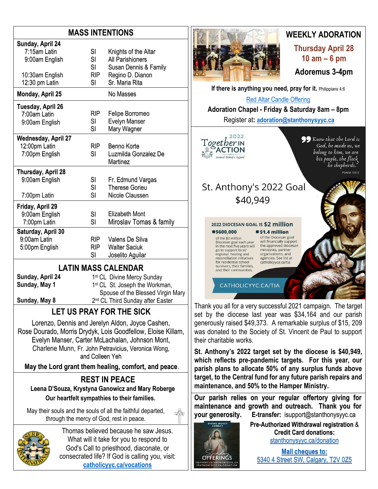## **MASS INTENTIONS**

| Sunday, April 24           |            |                                    |  |  |  |
|----------------------------|------------|------------------------------------|--|--|--|
| 7:15am Latin               | SI         | Knights of the Altar               |  |  |  |
| 9:00am English             | SI         | All Parishioners                   |  |  |  |
|                            | SI         |                                    |  |  |  |
|                            | <b>RIP</b> | Susan Dennis & Family              |  |  |  |
| 10:30am English            | SI         | Regino D. Dianon<br>Sr. Maria Rita |  |  |  |
| 12:30 pm Latin             |            |                                    |  |  |  |
| Monday, April 25           |            | No Masses                          |  |  |  |
| Tuesday, April 26          |            |                                    |  |  |  |
| 7:00am Latin               | RIP.       | Felipe Borromeo                    |  |  |  |
| 9:00am English             | SI         | <b>Evelyn Manser</b>               |  |  |  |
|                            | SI         | Mary Wagner                        |  |  |  |
| <b>Wednesday, April 27</b> |            |                                    |  |  |  |
| 12:00pm Latin              | <b>RIP</b> | Benno Korte                        |  |  |  |
| 7:00pm English             | SI         | Luzmilda Gonzalez De               |  |  |  |
|                            |            | <b>Martinez</b>                    |  |  |  |
| Thursday, April 28         |            |                                    |  |  |  |
| 9:00am English             | SI         | Fr. Edmund Vargas                  |  |  |  |
|                            | SI         | <b>Therese Gorieu</b>              |  |  |  |
| 7:00pm Latin               | SI         | Nicole Claussen                    |  |  |  |
| Friday, April 29           |            |                                    |  |  |  |
| 9:00am English             | SI         | Elizabeth Mont                     |  |  |  |
| 7:00pm Latin               | SI         | Miroslav Tomas & family            |  |  |  |
| Saturday, April 30         |            |                                    |  |  |  |
| 9:00am Latin               | RIP        | Valens De Silva                    |  |  |  |
| 5:00pm English             | <b>RIP</b> | <b>Walter Saciuk</b>               |  |  |  |
|                            | SI         | Joselito Aguilar                   |  |  |  |
|                            |            |                                    |  |  |  |
| ATINI MACC CAI ENDAD       |            |                                    |  |  |  |

**LATIN MASS CALENDAR**

**Sunday, April 24 Sunday, May 1**

**Sunday, May 8**

1<sup>st</sup> CL Divine Mercy Sunday 1<sup>st</sup> CL St. Joseph the Workman, Spouse of the Blessed Virgin Mary 2<sup>nd</sup> CL Third Sunday after Easter

# **LET US PRAY FOR THE SICK**

Lorenzo, Dennis and Jerelyn Aldon, Joyce Cashen, Rose Dourado, Morris Drydyk, Lois Goodfellow, Eloise Killam, Evelyn Manser, Carter McLachalan, Johnson Mont, Charlene Munn, Fr. John Petravicius, Veronica Wong, and Colleen Yeh

**May the Lord grant them healing, comfort, and peace**.

#### **REST IN PEACE Leena D'Souza, Krystyna Ganowicz and Mary Roberge Our heartfelt sympathies to their families.**

May their souls and the souls of all the faithful departed, through the mercy of God, rest in peace.



Thomas believed because he saw Jesus. What will it take for you to respond to God's Call to priesthood, diaconate, or consecrated life? If God is calling you, visit: **[catholicyyc.ca/vocations](http://www.catholicyyc.ca/vocations)**



# **WEEKLY ADORATION**

**Thursday April 28 10 am – 6 pm**

**Adoremus 3-4pm**

**If there is anything you need, pray for it. Philippians 4:6** 

[Red Altar Candle Offering](https://stanthonysyyc.ca/wp-content/uploads/2020/10/RED-ALTAR-CANDLE-OFFERING.pdf)

**Adoration Chapel - Friday & Saturday 8am – 8pm**  Register at**: [adoration@stanthonysyyc.ca](mailto:adoration@stanthonysyyc.ca)**

2022 T*ogetber* in<br>@ACTION  $9 - 6$ Annual Bishop's Appeal

So Know that the Lord is God, he made us, we belong to him, we are his people, the flock be shepherds." **PSALM 100:3** 

# St. Anthony's 2022 Goal \$40,949



regional healing and<br>reconciliation initiatives for residential school survivors, their families, and their communities

of the Diocesan goal will financially support the approved diocesan<br>ministries, partner organizations, and agencies. See list at catholicyyca.ca/tia

CATHOLICYYC.CA/TIA

Thank you all for a very successful 2021 campaign. The target set by the diocese last year was \$34,164 and our parish generously raised \$49,373. A remarkable surplus of \$15, 209 was donated to the Society of St. Vincent de Paul to support their charitable works.

**St. Anthony's 2022 target set by the diocese is \$40,949, which reflects pre-pandemic targets. For this year, our parish plans to allocate 50% of any surplus funds above target, to the Central fund for any future parish repairs and maintenance, and 50% to the Hamper Ministry.**

**Our parish relies on your regular offertory giving for maintenance and growth and outreach. Thank you for your generosity. E-transfer:** isupport@stanthonysyyc.ca



**Pre-Authorized Withdrawal registration** & **Credit Card donations:** [stanthonysyyc.ca/donation](https://stanthonysyyc.ca/donation/)

**Mail cheques to:** 5340 4 Street SW, Calgary, T2V 0Z5